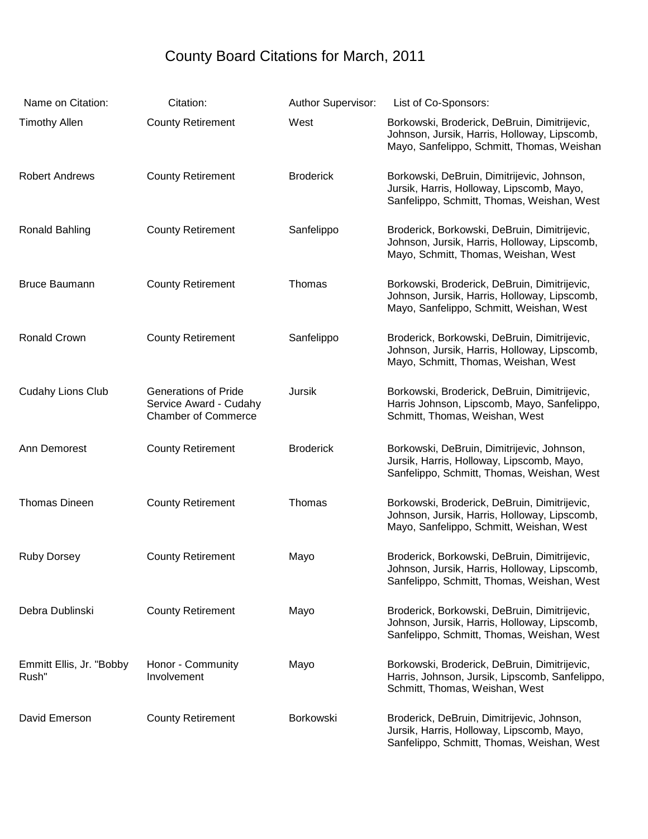## County Board Citations for March, 2011

| Name on Citation:                 | Citation:                                                                           | Author Supervisor: | List of Co-Sponsors:                                                                                                                       |
|-----------------------------------|-------------------------------------------------------------------------------------|--------------------|--------------------------------------------------------------------------------------------------------------------------------------------|
| <b>Timothy Allen</b>              | <b>County Retirement</b>                                                            | West               | Borkowski, Broderick, DeBruin, Dimitrijevic,<br>Johnson, Jursik, Harris, Holloway, Lipscomb,<br>Mayo, Sanfelippo, Schmitt, Thomas, Weishan |
| <b>Robert Andrews</b>             | <b>County Retirement</b>                                                            | <b>Broderick</b>   | Borkowski, DeBruin, Dimitrijevic, Johnson,<br>Jursik, Harris, Holloway, Lipscomb, Mayo,<br>Sanfelippo, Schmitt, Thomas, Weishan, West      |
| Ronald Bahling                    | <b>County Retirement</b>                                                            | Sanfelippo         | Broderick, Borkowski, DeBruin, Dimitrijevic,<br>Johnson, Jursik, Harris, Holloway, Lipscomb,<br>Mayo, Schmitt, Thomas, Weishan, West       |
| <b>Bruce Baumann</b>              | <b>County Retirement</b>                                                            | Thomas             | Borkowski, Broderick, DeBruin, Dimitrijevic,<br>Johnson, Jursik, Harris, Holloway, Lipscomb,<br>Mayo, Sanfelippo, Schmitt, Weishan, West   |
| <b>Ronald Crown</b>               | <b>County Retirement</b>                                                            | Sanfelippo         | Broderick, Borkowski, DeBruin, Dimitrijevic,<br>Johnson, Jursik, Harris, Holloway, Lipscomb,<br>Mayo, Schmitt, Thomas, Weishan, West       |
| <b>Cudahy Lions Club</b>          | <b>Generations of Pride</b><br>Service Award - Cudahy<br><b>Chamber of Commerce</b> | Jursik             | Borkowski, Broderick, DeBruin, Dimitrijevic,<br>Harris Johnson, Lipscomb, Mayo, Sanfelippo,<br>Schmitt, Thomas, Weishan, West              |
| Ann Demorest                      | <b>County Retirement</b>                                                            | <b>Broderick</b>   | Borkowski, DeBruin, Dimitrijevic, Johnson,<br>Jursik, Harris, Holloway, Lipscomb, Mayo,<br>Sanfelippo, Schmitt, Thomas, Weishan, West      |
| Thomas Dineen                     | <b>County Retirement</b>                                                            | Thomas             | Borkowski, Broderick, DeBruin, Dimitrijevic,<br>Johnson, Jursik, Harris, Holloway, Lipscomb,<br>Mayo, Sanfelippo, Schmitt, Weishan, West   |
| <b>Ruby Dorsey</b>                | <b>County Retirement</b>                                                            | Mayo               | Broderick, Borkowski, DeBruin, Dimitrijevic,<br>Johnson, Jursik, Harris, Holloway, Lipscomb,<br>Sanfelippo, Schmitt, Thomas, Weishan, West |
| Debra Dublinski                   | <b>County Retirement</b>                                                            | Mayo               | Broderick, Borkowski, DeBruin, Dimitrijevic,<br>Johnson, Jursik, Harris, Holloway, Lipscomb,<br>Sanfelippo, Schmitt, Thomas, Weishan, West |
| Emmitt Ellis, Jr. "Bobby<br>Rush" | Honor - Community<br>Involvement                                                    | Mayo               | Borkowski, Broderick, DeBruin, Dimitrijevic,<br>Harris, Johnson, Jursik, Lipscomb, Sanfelippo,<br>Schmitt, Thomas, Weishan, West           |
| David Emerson                     | <b>County Retirement</b>                                                            | Borkowski          | Broderick, DeBruin, Dimitrijevic, Johnson,<br>Jursik, Harris, Holloway, Lipscomb, Mayo,<br>Sanfelippo, Schmitt, Thomas, Weishan, West      |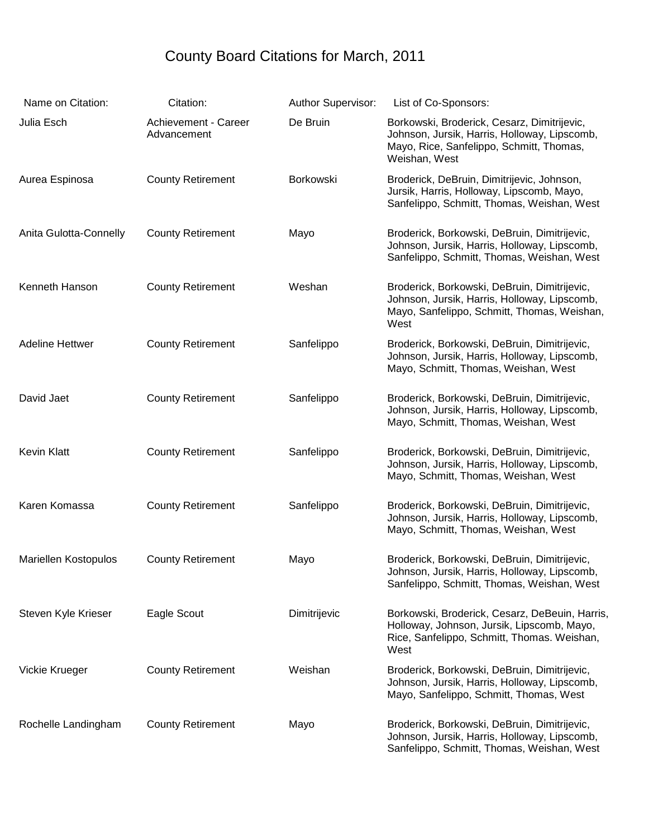## County Board Citations for March, 2011

| Name on Citation:           | Citation:                           | Author Supervisor: | List of Co-Sponsors:                                                                                                                                     |
|-----------------------------|-------------------------------------|--------------------|----------------------------------------------------------------------------------------------------------------------------------------------------------|
| Julia Esch                  | Achievement - Career<br>Advancement | De Bruin           | Borkowski, Broderick, Cesarz, Dimitrijevic,<br>Johnson, Jursik, Harris, Holloway, Lipscomb,<br>Mayo, Rice, Sanfelippo, Schmitt, Thomas,<br>Weishan, West |
| Aurea Espinosa              | <b>County Retirement</b>            | Borkowski          | Broderick, DeBruin, Dimitrijevic, Johnson,<br>Jursik, Harris, Holloway, Lipscomb, Mayo,<br>Sanfelippo, Schmitt, Thomas, Weishan, West                    |
| Anita Gulotta-Connelly      | <b>County Retirement</b>            | Mayo               | Broderick, Borkowski, DeBruin, Dimitrijevic,<br>Johnson, Jursik, Harris, Holloway, Lipscomb,<br>Sanfelippo, Schmitt, Thomas, Weishan, West               |
| Kenneth Hanson              | <b>County Retirement</b>            | Weshan             | Broderick, Borkowski, DeBruin, Dimitrijevic,<br>Johnson, Jursik, Harris, Holloway, Lipscomb,<br>Mayo, Sanfelippo, Schmitt, Thomas, Weishan,<br>West      |
| <b>Adeline Hettwer</b>      | <b>County Retirement</b>            | Sanfelippo         | Broderick, Borkowski, DeBruin, Dimitrijevic,<br>Johnson, Jursik, Harris, Holloway, Lipscomb,<br>Mayo, Schmitt, Thomas, Weishan, West                     |
| David Jaet                  | <b>County Retirement</b>            | Sanfelippo         | Broderick, Borkowski, DeBruin, Dimitrijevic,<br>Johnson, Jursik, Harris, Holloway, Lipscomb,<br>Mayo, Schmitt, Thomas, Weishan, West                     |
| <b>Kevin Klatt</b>          | <b>County Retirement</b>            | Sanfelippo         | Broderick, Borkowski, DeBruin, Dimitrijevic,<br>Johnson, Jursik, Harris, Holloway, Lipscomb,<br>Mayo, Schmitt, Thomas, Weishan, West                     |
| Karen Komassa               | <b>County Retirement</b>            | Sanfelippo         | Broderick, Borkowski, DeBruin, Dimitrijevic,<br>Johnson, Jursik, Harris, Holloway, Lipscomb,<br>Mayo, Schmitt, Thomas, Weishan, West                     |
| <b>Mariellen Kostopulos</b> | <b>County Retirement</b>            | Mayo               | Broderick, Borkowski, DeBruin, Dimitrijevic,<br>Johnson, Jursik, Harris, Holloway, Lipscomb,<br>Sanfelippo, Schmitt, Thomas, Weishan, West               |
| Steven Kyle Krieser         | Eagle Scout                         | Dimitrijevic       | Borkowski, Broderick, Cesarz, DeBeuin, Harris,<br>Holloway, Johnson, Jursik, Lipscomb, Mayo,<br>Rice, Sanfelippo, Schmitt, Thomas. Weishan,<br>West      |
| Vickie Krueger              | <b>County Retirement</b>            | Weishan            | Broderick, Borkowski, DeBruin, Dimitrijevic,<br>Johnson, Jursik, Harris, Holloway, Lipscomb,<br>Mayo, Sanfelippo, Schmitt, Thomas, West                  |
| Rochelle Landingham         | <b>County Retirement</b>            | Mayo               | Broderick, Borkowski, DeBruin, Dimitrijevic,<br>Johnson, Jursik, Harris, Holloway, Lipscomb,<br>Sanfelippo, Schmitt, Thomas, Weishan, West               |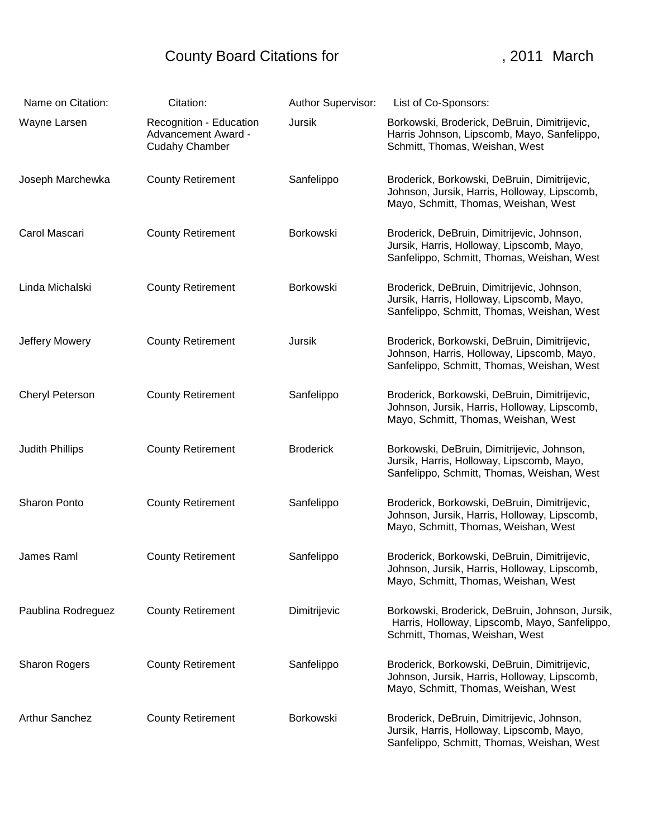## County Board Citations for **County Board Citations for County** 19011 March

| Name on Citation:      | Citation:                                                                      | Author Supervisor: | List of Co-Sponsors:                                                                                                                     |
|------------------------|--------------------------------------------------------------------------------|--------------------|------------------------------------------------------------------------------------------------------------------------------------------|
| Wayne Larsen           | Recognition - Education<br><b>Advancement Award -</b><br><b>Cudahy Chamber</b> | Jursik             | Borkowski, Broderick, DeBruin, Dimitrijevic,<br>Harris Johnson, Lipscomb, Mayo, Sanfelippo,<br>Schmitt, Thomas, Weishan, West            |
| Joseph Marchewka       | <b>County Retirement</b>                                                       | Sanfelippo         | Broderick, Borkowski, DeBruin, Dimitrijevic,<br>Johnson, Jursik, Harris, Holloway, Lipscomb,<br>Mayo, Schmitt, Thomas, Weishan, West     |
| Carol Mascari          | <b>County Retirement</b>                                                       | Borkowski          | Broderick, DeBruin, Dimitrijevic, Johnson,<br>Jursik, Harris, Holloway, Lipscomb, Mayo,<br>Sanfelippo, Schmitt, Thomas, Weishan, West    |
| Linda Michalski        | <b>County Retirement</b>                                                       | Borkowski          | Broderick, DeBruin, Dimitrijevic, Johnson,<br>Jursik, Harris, Holloway, Lipscomb, Mayo,<br>Sanfelippo, Schmitt, Thomas, Weishan, West    |
| Jeffery Mowery         | <b>County Retirement</b>                                                       | Jursik             | Broderick, Borkowski, DeBruin, Dimitrijevic,<br>Johnson, Harris, Holloway, Lipscomb, Mayo,<br>Sanfelippo, Schmitt, Thomas, Weishan, West |
| Cheryl Peterson        | <b>County Retirement</b>                                                       | Sanfelippo         | Broderick, Borkowski, DeBruin, Dimitrijevic,<br>Johnson, Jursik, Harris, Holloway, Lipscomb,<br>Mayo, Schmitt, Thomas, Weishan, West     |
| <b>Judith Phillips</b> | <b>County Retirement</b>                                                       | <b>Broderick</b>   | Borkowski, DeBruin, Dimitrijevic, Johnson,<br>Jursik, Harris, Holloway, Lipscomb, Mayo,<br>Sanfelippo, Schmitt, Thomas, Weishan, West    |
| Sharon Ponto           | <b>County Retirement</b>                                                       | Sanfelippo         | Broderick, Borkowski, DeBruin, Dimitrijevic,<br>Johnson, Jursik, Harris, Holloway, Lipscomb,<br>Mayo, Schmitt, Thomas, Weishan, West     |
| James Raml             | <b>County Retirement</b>                                                       | Sanfelippo         | Broderick, Borkowski, DeBruin, Dimitrijevic,<br>Johnson, Jursik, Harris, Holloway, Lipscomb,<br>Mayo, Schmitt, Thomas, Weishan, West     |
| Paublina Rodreguez     | <b>County Retirement</b>                                                       | Dimitrijevic       | Borkowski, Broderick, DeBruin, Johnson, Jursik,<br>Harris, Holloway, Lipscomb, Mayo, Sanfelippo,<br>Schmitt, Thomas, Weishan, West       |
| <b>Sharon Rogers</b>   | <b>County Retirement</b>                                                       | Sanfelippo         | Broderick, Borkowski, DeBruin, Dimitrijevic,<br>Johnson, Jursik, Harris, Holloway, Lipscomb,<br>Mayo, Schmitt, Thomas, Weishan, West     |
| <b>Arthur Sanchez</b>  | <b>County Retirement</b>                                                       | Borkowski          | Broderick, DeBruin, Dimitrijevic, Johnson,<br>Jursik, Harris, Holloway, Lipscomb, Mayo,<br>Sanfelippo, Schmitt, Thomas, Weishan, West    |